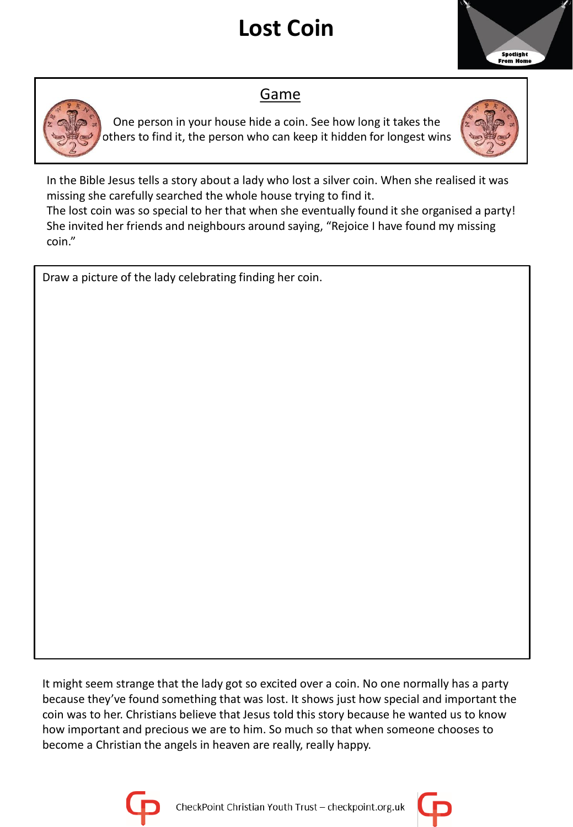## **Lost Coin**



## Game

One person in your house hide a coin. See how long it takes the others to find it, the person who can keep it hidden for longest wins



In the Bible Jesus tells a story about a lady who lost a silver coin. When she realised it was missing she carefully searched the whole house trying to find it.

The lost coin was so special to her that when she eventually found it she organised a party! She invited her friends and neighbours around saying, "Rejoice I have found my missing coin."

Draw a picture of the lady celebrating finding her coin.

It might seem strange that the lady got so excited over a coin. No one normally has a party because they've found something that was lost. It shows just how special and important the coin was to her. Christians believe that Jesus told this story because he wanted us to know how important and precious we are to him. So much so that when someone chooses to become a Christian the angels in heaven are really, really happy.